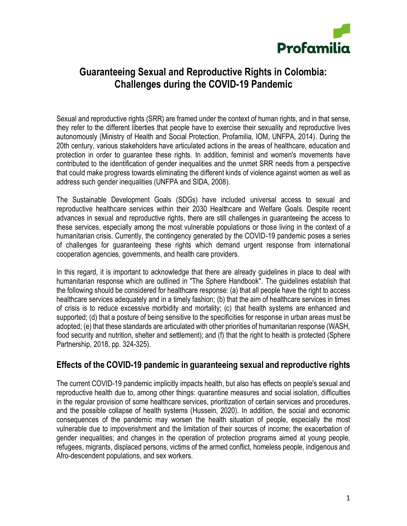

# **Guaranteeing Sexual and Reproductive Rights in Colombia: Challenges during the COVID-19 Pandemic**

Sexual and reproductive rights (SRR) are framed under the context of human rights, and in that sense, they refer to the different liberties that people have to exercise their sexuality and reproductive lives autonomously (Ministry of Health and Social Protection, Profamilia, IOM, UNFPA, 2014). During the 20th century, various stakeholders have articulated actions in the areas of healthcare, education and protection in order to guarantee these rights. In addition, feminist and women's movements have contributed to the identification of gender inequalities and the unmet SRR needs from a perspective that could make progress towards eliminating the different kinds of violence against women as well as address such gender inequalities (UNFPA and SIDA, 2008).

The Sustainable Development Goals (SDGs) have included universal access to sexual and reproductive healthcare services within their 2030 Healthcare and Welfare Goals. Despite recent advances in sexual and reproductive rights, there are still challenges in guaranteeing the access to these services, especially among the most vulnerable populations or those living in the context of a humanitarian crisis. Currently, the contingency generated by the COVID-19 pandemic poses a series of challenges for guaranteeing these rights which demand urgent response from international cooperation agencies, governments, and health care providers.

In this regard, it is important to acknowledge that there are already guidelines in place to deal with humanitarian response which are outlined in "The Sphere Handbook". The guidelines establish that the following should be considered for healthcare response: (a) that all people have the right to access healthcare services adequately and in a timely fashion; (b) that the aim of healthcare services in times of crisis is to reduce excessive morbidity and mortality; (c) that health systems are enhanced and supported; (d) that a posture of being sensitive to the specificities for response in urban areas must be adopted; (e) that these standards are articulated with other priorities of humanitarian response (WASH, food security and nutrition, shelter and settlement); and (f) that the right to health is protected (Sphere Partnership, 2018, pp. 324-325).

# **Effects of the COVID-19 pandemic in guaranteeing sexual and reproductive rights**

The current COVID-19 pandemic implicitly impacts health, but also has effects on people's sexual and reproductive health due to, among other things: quarantine measures and social isolation, difficulties in the regular provision of some healthcare services, prioritization of certain services and procedures, and the possible collapse of health systems (Hussein, 2020). In addition, the social and economic consequences of the pandemic may worsen the health situation of people, especially the most vulnerable due to impoverishment and the limitation of their sources of income; the exacerbation of gender inequalities; and changes in the operation of protection programs aimed at young people, refugees, migrants, displaced persons, victims of the armed conflict, homeless people, indigenous and Afro-descendent populations, and sex workers.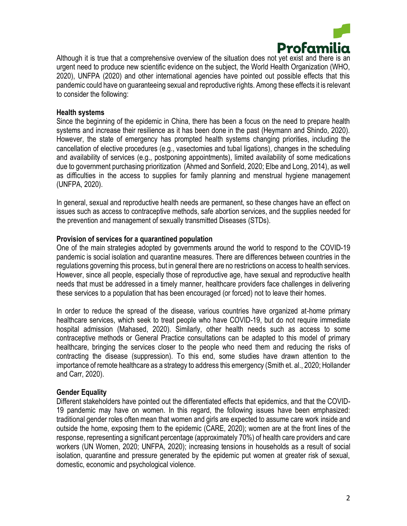

Although it is true that a comprehensive overview of the situation does not yet exist and there is an urgent need to produce new scientific evidence on the subject, the World Health Organization (WHO, 2020), UNFPA (2020) and other international agencies have pointed out possible effects that this pandemic could have on guaranteeing sexual and reproductive rights. Among these effects it is relevant to consider the following:

#### **Health systems**

Since the beginning of the epidemic in China, there has been a focus on the need to prepare health systems and increase their resilience as it has been done in the past (Heymann and Shindo, 2020). However, the state of emergency has prompted health systems changing priorities, including the cancellation of elective procedures (e.g., vasectomies and tubal ligations), changes in the scheduling and availability of services (e.g., postponing appointments), limited availability of some medications due to government purchasing prioritization (Ahmed and Sonfield, 2020; Elbe and Long, 2014), as well as difficulties in the access to supplies for family planning and menstrual hygiene management (UNFPA, 2020).

In general, sexual and reproductive health needs are permanent, so these changes have an effect on issues such as access to contraceptive methods, safe abortion services, and the supplies needed for the prevention and management of sexually transmitted Diseases (STDs).

#### **Provision of services for a quarantined population**

One of the main strategies adopted by governments around the world to respond to the COVID-19 pandemic is social isolation and quarantine measures. There are differences between countries in the regulations governing this process, but in general there are no restrictions on access to health services. However, since all people, especially those of reproductive age, have sexual and reproductive health needs that must be addressed in a timely manner, healthcare providers face challenges in delivering these services to a population that has been encouraged (or forced) not to leave their homes.

In order to reduce the spread of the disease, various countries have organized at-home primary healthcare services, which seek to treat people who have COVID-19, but do not require immediate hospital admission (Mahased, 2020). Similarly, other health needs such as access to some contraceptive methods or General Practice consultations can be adapted to this model of primary healthcare, bringing the services closer to the people who need them and reducing the risks of contracting the disease (suppression). To this end, some studies have drawn attention to the importance of remote healthcare as a strategy to address this emergency (Smith et. al., 2020; Hollander and Carr, 2020).

#### **Gender Equality**

Different stakeholders have pointed out the differentiated effects that epidemics, and that the COVID-19 pandemic may have on women. In this regard, the following issues have been emphasized: traditional gender roles often mean that women and girls are expected to assume care work inside and outside the home, exposing them to the epidemic (CARE, 2020); women are at the front lines of the response, representing a significant percentage (approximately 70%) of health care providers and care workers (UN Women, 2020; UNFPA, 2020); increasing tensions in households as a result of social isolation, quarantine and pressure generated by the epidemic put women at greater risk of sexual, domestic, economic and psychological violence.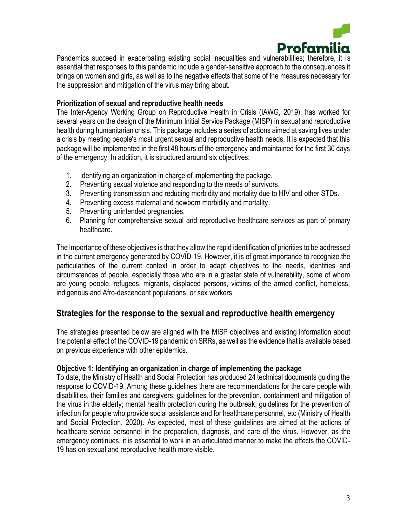

Pandemics succeed in exacerbating existing social inequalities and vulnerabilities; therefore, it is essential that responses to this pandemic include a gender-sensitive approach to the consequences it brings on women and girls, as well as to the negative effects that some of the measures necessary for the suppression and mitigation of the virus may bring about.

### **Prioritization of sexual and reproductive health needs**

The Inter-Agency Working Group on Reproductive Health in Crisis (IAWG, 2019), has worked for several years on the design of the Minimum Initial Service Package (MISP) in sexual and reproductive health during humanitarian crisis. This package includes a series of actions aimed at saving lives under a crisis by meeting people's most urgent sexual and reproductive health needs. It is expected that this package will be implemented in the first 48 hours of the emergency and maintained for the first 30 days of the emergency. In addition, it is structured around six objectives:

- 1. Identifying an organization in charge of implementing the package.
- 2. Preventing sexual violence and responding to the needs of survivors.
- 3. Preventing transmission and reducing morbidity and mortality due to HIV and other STDs.
- 4. Preventing excess maternal and newborn morbidity and mortality.
- 5. Preventing unintended pregnancies.
- 6. Planning for comprehensive sexual and reproductive healthcare services as part of primary healthcare.

The importance of these objectives is that they allow the rapid identification of priorities to be addressed in the current emergency generated by COVID-19. However, it is of great importance to recognize the particularities of the current context in order to adapt objectives to the needs, identities and circumstances of people, especially those who are in a greater state of vulnerability, some of whom are young people, refugees, migrants, displaced persons, victims of the armed conflict, homeless, indigenous and Afro-descendent populations, or sex workers.

# **Strategies for the response to the sexual and reproductive health emergency**

The strategies presented below are aligned with the MISP objectives and existing information about the potential effect of the COVID-19 pandemic on SRRs, as well as the evidence that is available based on previous experience with other epidemics.

#### **Objective 1: Identifying an organization in charge of implementing the package**

To date, the Ministry of Health and Social Protection has produced 24 technical documents guiding the response to COVID-19. Among these guidelines there are recommendations for the care people with disabilities, their families and caregivers; guidelines for the prevention, containment and mitigation of the virus in the elderly; mental health protection during the outbreak; guidelines for the prevention of infection for people who provide social assistance and for healthcare personnel, etc (Ministry of Health and Social Protection, 2020). As expected, most of these guidelines are aimed at the actions of healthcare service personnel in the preparation, diagnosis, and care of the virus. However, as the emergency continues, it is essential to work in an articulated manner to make the effects the COVID-19 has on sexual and reproductive health more visible.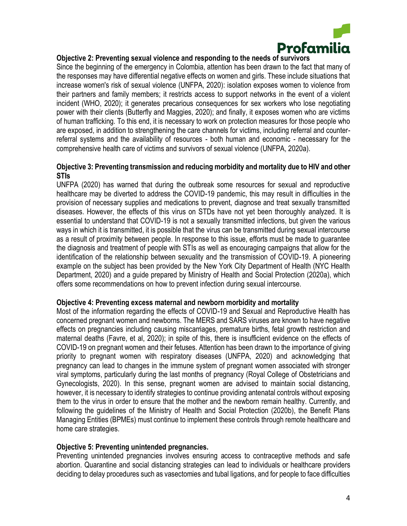

### **Objective 2: Preventing sexual violence and responding to the needs of survivors**

Since the beginning of the emergency in Colombia, attention has been drawn to the fact that many of the responses may have differential negative effects on women and girls. These include situations that increase women's risk of sexual violence (UNFPA, 2020): isolation exposes women to violence from their partners and family members; it restricts access to support networks in the event of a violent incident (WHO, 2020); it generates precarious consequences for sex workers who lose negotiating power with their clients (Butterfly and Maggies, 2020); and finally, it exposes women who are victims of human trafficking. To this end, it is necessary to work on protection measures for those people who are exposed, in addition to strengthening the care channels for victims, including referral and counterreferral systems and the availability of resources - both human and economic - necessary for the comprehensive health care of victims and survivors of sexual violence (UNFPA, 2020a).

### **Objective 3: Preventing transmission and reducing morbidity and mortality due to HIV and other STIs**

UNFPA (2020) has warned that during the outbreak some resources for sexual and reproductive healthcare may be diverted to address the COVID-19 pandemic, this may result in difficulties in the provision of necessary supplies and medications to prevent, diagnose and treat sexually transmitted diseases. However, the effects of this virus on STDs have not yet been thoroughly analyzed. It is essential to understand that COVID-19 is not a sexually transmitted infections, but given the various ways in which it is transmitted, it is possible that the virus can be transmitted during sexual intercourse as a result of proximity between people. In response to this issue, efforts must be made to guarantee the diagnosis and treatment of people with STIs as well as encouraging campaigns that allow for the identification of the relationship between sexuality and the transmission of COVID-19. A pioneering example on the subject has been provided by the New York City Department of Health (NYC Health Department, 2020) and a guide prepared by Ministry of Health and Social Protection (2020a), which offers some recommendations on how to prevent infection during sexual intercourse.

#### **Objective 4: Preventing excess maternal and newborn morbidity and mortality**

Most of the information regarding the effects of COVID-19 and Sexual and Reproductive Health has concerned pregnant women and newborns. The MERS and SARS viruses are known to have negative effects on pregnancies including causing miscarriages, premature births, fetal growth restriction and maternal deaths (Favre, et al, 2020); in spite of this, there is insufficient evidence on the effects of COVID-19 on pregnant women and their fetuses. Attention has been drawn to the importance of giving priority to pregnant women with respiratory diseases (UNFPA, 2020) and acknowledging that pregnancy can lead to changes in the immune system of pregnant women associated with stronger viral symptoms, particularly during the last months of pregnancy (Royal College of Obstetricians and Gynecologists, 2020). In this sense, pregnant women are advised to maintain social distancing, however, it is necessary to identify strategies to continue providing antenatal controls without exposing them to the virus in order to ensure that the mother and the newborn remain healthy. Currently, and following the guidelines of the Ministry of Health and Social Protection (2020b), the Benefit Plans Managing Entities (BPMEs) must continue to implement these controls through remote healthcare and home care strategies.

#### **Objective 5: Preventing unintended pregnancies.**

Preventing unintended pregnancies involves ensuring access to contraceptive methods and safe abortion. Quarantine and social distancing strategies can lead to individuals or healthcare providers deciding to delay procedures such as vasectomies and tubal ligations, and for people to face difficulties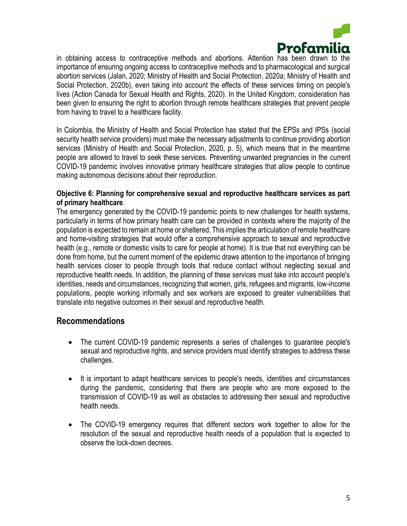

in obtaining access to contraceptive methods and abortions. Attention has been drawn to the importance of ensuring ongoing access to contraceptive methods and to pharmacological and surgical abortion services (Jalan, 2020; Ministry of Health and Social Protection, 2020a; Ministry of Health and Social Protection, 2020b), even taking into account the effects of these services timing on people's lives (Action Canada for Sexual Health and Rights, 2020). In the United Kingdom, consideration has been given to ensuring the right to abortion through remote healthcare strategies that prevent people from having to travel to a healthcare facility.

In Colombia, the Ministry of Health and Social Protection has stated that the EPSs and IPSs (social security health service providers) must make the necessary adjustments to continue providing abortion services (Ministry of Health and Social Protection, 2020, p. 5), which means that in the meantime people are allowed to travel to seek these services. Preventing unwanted pregnancies in the current COVID-19 pandemic involves innovative primary healthcare strategies that allow people to continue making autonomous decisions about their reproduction.

### **Objective 6: Planning for comprehensive sexual and reproductive healthcare services as part of primary healthcare**.

The emergency generated by the COVID-19 pandemic points to new challenges for health systems, particularly in terms of how primary health care can be provided in contexts where the majority of the population is expected to remain at home or sheltered. This implies the articulation of remote healthcare and home-visiting strategies that would offer a comprehensive approach to sexual and reproductive health (e.g., remote or domestic visits to care for people at home). It is true that not everything can be done from home, but the current moment of the epidemic draws attention to the importance of bringing health services closer to people through tools that reduce contact without neglecting sexual and reproductive health needs. In addition, the planning of these services must take into account people's identities, needs and circumstances, recognizing that women, girls, refugees and migrants, low-income populations, people working informally and sex workers are exposed to greater vulnerabilities that translate into negative outcomes in their sexual and reproductive health.

# **Recommendations**

- The current COVID-19 pandemic represents a series of challenges to quarantee people's sexual and reproductive rights, and service providers must identify strategies to address these challenges.
- It is important to adapt healthcare services to people's needs, identities and circumstances during the pandemic, considering that there are people who are more exposed to the transmission of COVID-19 as well as obstacles to addressing their sexual and reproductive health needs.
- The COVID-19 emergency requires that different sectors work together to allow for the resolution of the sexual and reproductive health needs of a population that is expected to observe the lock-down decrees.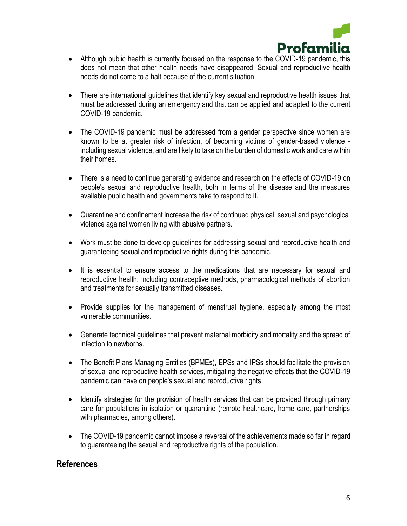

- Although public health is currently focused on the response to the COVID-19 pandemic, this does not mean that other health needs have disappeared. Sexual and reproductive health needs do not come to a halt because of the current situation.
- There are international quidelines that identify key sexual and reproductive health issues that must be addressed during an emergency and that can be applied and adapted to the current COVID-19 pandemic.
- The COVID-19 pandemic must be addressed from a gender perspective since women are known to be at greater risk of infection, of becoming victims of gender-based violence including sexual violence, and are likely to take on the burden of domestic work and care within their homes.
- There is a need to continue generating evidence and research on the effects of COVID-19 on people's sexual and reproductive health, both in terms of the disease and the measures available public health and governments take to respond to it.
- Quarantine and confinement increase the risk of continued physical, sexual and psychological violence against women living with abusive partners.
- Work must be done to develop guidelines for addressing sexual and reproductive health and guaranteeing sexual and reproductive rights during this pandemic.
- It is essential to ensure access to the medications that are necessary for sexual and reproductive health, including contraceptive methods, pharmacological methods of abortion and treatments for sexually transmitted diseases.
- Provide supplies for the management of menstrual hygiene, especially among the most vulnerable communities.
- Generate technical guidelines that prevent maternal morbidity and mortality and the spread of infection to newborns.
- The Benefit Plans Managing Entities (BPMEs), EPSs and IPSs should facilitate the provision of sexual and reproductive health services, mitigating the negative effects that the COVID-19 pandemic can have on people's sexual and reproductive rights.
- Identify strategies for the provision of health services that can be provided through primary care for populations in isolation or quarantine (remote healthcare, home care, partnerships with pharmacies, among others).
- The COVID-19 pandemic cannot impose a reversal of the achievements made so far in regard to guaranteeing the sexual and reproductive rights of the population.

### **References**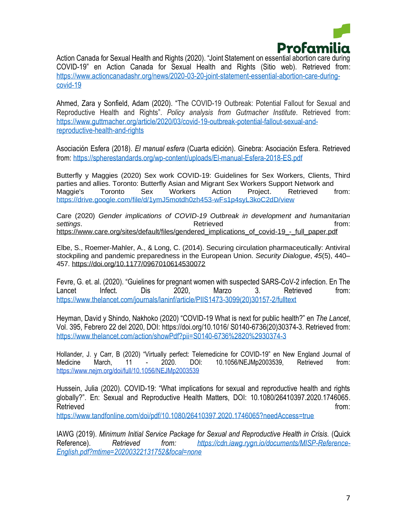

Action Canada for Sexual Health and Rights (2020). "Joint Statement on essential abortion care during COVID-19" en Action Canada for Sexual Health and Rights (Sitio web). Retrieved from: [https://www.actioncanadashr.org/news/2020-03-20-joint-statement-essential-abortion-care-during](https://www.actioncanadashr.org/news/2020-03-20-joint-statement-essential-abortion-care-during-covid-19)[covid-19](https://www.actioncanadashr.org/news/2020-03-20-joint-statement-essential-abortion-care-during-covid-19)

Ahmed, Zara y Sonfield, Adam (2020). "The COVID-19 Outbreak: Potential Fallout for Sexual and Reproductive Health and Rights". *Policy analysis from Gutmacher Institute*. Retrieved from: [https://www.guttmacher.org/article/2020/03/covid-19-outbreak-potential-fallout-sexual-and](https://www.guttmacher.org/article/2020/03/covid-19-outbreak-potential-fallout-sexual-and-reproductive-health-and-rights)[reproductive-health-and-rights](https://www.guttmacher.org/article/2020/03/covid-19-outbreak-potential-fallout-sexual-and-reproductive-health-and-rights)

Asociación Esfera (2018). *El manual esfera* (Cuarta edición). Ginebra: Asociación Esfera. Retrieved from:<https://spherestandards.org/wp-content/uploads/El-manual-Esfera-2018-ES.pdf>

Butterfly y Maggies (2020) Sex work COVID-19: Guidelines for Sex Workers, Clients, Third parties and allies. Toronto: Butterfly Asian and Migrant Sex Workers Support Network and Maggie's Toronto Sex Workers Action Project. Retrieved from: <https://drive.google.com/file/d/1ymJ5motdh0zh453-wFs1p4syL3koC2dD/view>

Care (2020) *Gender implications of COVID-19 Outbreak in development and humanitarian*  **settings.** The control of the control of the control of the control of the control of the control of the control of the control of the control of the control of the control of the control of the control of the control of [https://www.care.org/sites/default/files/gendered\\_implications\\_of\\_covid-19\\_-\\_full\\_paper.pdf](https://www.care.org/sites/default/files/gendered_implications_of_covid-19_-_full_paper.pdf)

Elbe, S., Roemer-Mahler, A., & Long, C. (2014). Securing circulation pharmaceutically: Antiviral stockpiling and pandemic preparedness in the European Union. *Security Dialogue*, *45*(5), 440– 457. <https://doi.org/10.1177/0967010614530072>

Fevre, G. et. al. (2020). "Guielines for pregnant women with suspected SARS-CoV-2 infection. En The Lancet Infect. Dis 2020, Marzo 3. Retrieved from: [https://www.thelancet.com/journals/laninf/article/PIIS1473-3099\(20\)30157-2/fulltext](https://www.thelancet.com/journals/laninf/article/PIIS1473-3099(20)30157-2/fulltext)

Heyman, David y Shindo, Nakhoko (2020) "COVID-19 What is next for public health?" en *The Lancet*, Vol. 395, Febrero 22 del 2020, DOI: https://doi.org/10.1016/ S0140-6736(20)30374-3. Retrieved from: <https://www.thelancet.com/action/showPdf?pii=S0140-6736%2820%2930374-3>

Hollander, J. y Carr, B (2020) "Virtually perfect: Telemedicine for COVID-19" en New England Journal of Medicine March, 11 - 2020. DOI: 10.1056/NEJMp2003539, Retrieved from: <https://www.nejm.org/doi/full/10.1056/NEJMp2003539>

Hussein, Julia (2020). COVID-19: "What implications for sexual and reproductive health and rights globally?". En: Sexual and Reproductive Health Matters, DOI: 10.1080/26410397.2020.1746065. Retrieved from: the contract of the contract of the contract of the contract of the contract of the contract of the contract of the contract of the contract of the contract of the contract of the contract of the contract o

<https://www.tandfonline.com/doi/pdf/10.1080/26410397.2020.1746065?needAccess=true>

IAWG (2019). *Minimum Initial Service Package for Sexual and Reproductive Health in Crisis.* (Quick Reference). *Retrieved from: [https://cdn.iawg.rygn.io/documents/MISP-Reference-](https://cdn.iawg.rygn.io/documents/MISP-Reference-English.pdf?mtime=20200322131752&focal=none)[English.pdf?mtime=20200322131752&focal=none](https://cdn.iawg.rygn.io/documents/MISP-Reference-English.pdf?mtime=20200322131752&focal=none)*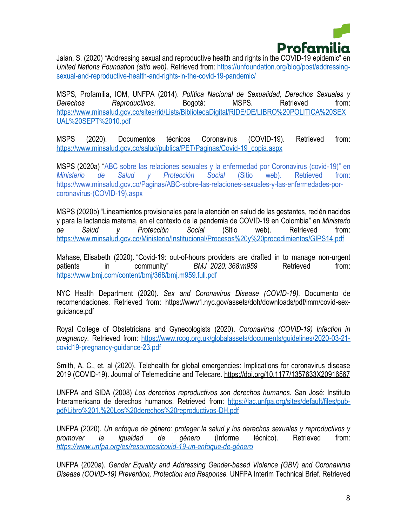

Jalan, S. (2020) "Addressing sexual and reproductive health and rights in the COVID-19 epidemic" en *United Nations Foundation (sitio web).* Retrieved from: [https://unfoundation.org/blog/post/addressing](https://unfoundation.org/blog/post/addressing-sexual-and-reproductive-health-and-rights-in-the-covid-19-pandemic/)[sexual-and-reproductive-health-and-rights-in-the-covid-19-pandemic/](https://unfoundation.org/blog/post/addressing-sexual-and-reproductive-health-and-rights-in-the-covid-19-pandemic/)

MSPS, Profamilia, IOM, UNFPA (2014). *Política Nacional de Sexualidad, Derechos Sexuales y Derechos Reproductivos.* Bogotá: MSPS. Retrieved from: [https://www.minsalud.gov.co/sites/rid/Lists/BibliotecaDigital/RIDE/DE/LIBRO%20POLITICA%20SEX](https://www.minsalud.gov.co/sites/rid/Lists/BibliotecaDigital/RIDE/DE/LIBRO%20POLITICA%20SEXUAL%20SEPT%2010.pdf) [UAL%20SEPT%2010.pdf](https://www.minsalud.gov.co/sites/rid/Lists/BibliotecaDigital/RIDE/DE/LIBRO%20POLITICA%20SEXUAL%20SEPT%2010.pdf)

MSPS (2020). Documentos técnicos Coronavirus (COVID-19). Retrieved from: [https://www.minsalud.gov.co/salud/publica/PET/Paginas/Covid-19\\_copia.aspx](https://www.minsalud.gov.co/salud/publica/PET/Paginas/Covid-19_copia.aspx)

MSPS (2020a) "ABC sobre las relaciones sexuales y la enfermedad por Coronavirus (covid-19)" en *Ministerio de Salud y Protección Social* (Sitio web). Retrieved from: https://www.minsalud.gov.co/Paginas/ABC-sobre-las-relaciones-sexuales-y-las-enfermedades-porcoronavirus-(COVID-19).aspx

MSPS (2020b) "Lineamientos provisionales para la atención en salud de las gestantes, recién nacidos y para la lactancia materna, en el contexto de la pandemia de COVID-19 en Colombia" en *Ministerio de Salud y Protección Social* (Sitio web). Retrieved from: <https://www.minsalud.gov.co/Ministerio/Institucional/Procesos%20y%20procedimientos/GIPS14.pdf>

Mahase, Elisabeth (2020). "Covid-19: out-of-hours providers are drafted in to manage non-urgent patients in community" *BMJ 2020; 368:m959* Retrieved from: <https://www.bmj.com/content/bmj/368/bmj.m959.full.pdf>

NYC Health Department (2020). *Sex and Coronavirus Disease (COVID-19).* Documento de recomendaciones. Retrieved from: https://www1.nyc.gov/assets/doh/downloads/pdf/imm/covid-sexguidance.pdf

Royal College of Obstetricians and Gynecologists (2020). *Coronavirus (COVID-19) Infection in pregnancy.* Retrieved from: [https://www.rcog.org.uk/globalassets/documents/guidelines/2020-03-21](https://www.rcog.org.uk/globalassets/documents/guidelines/2020-03-21-covid19-pregnancy-guidance-23.pdf) [covid19-pregnancy-guidance-23.pdf](https://www.rcog.org.uk/globalassets/documents/guidelines/2020-03-21-covid19-pregnancy-guidance-23.pdf)

Smith, A. C., et. al (2020). Telehealth for global emergencies: Implications for coronavirus disease 2019 (COVID-19). Journal of Telemedicine and Telecare. <https://doi.org/10.1177/1357633X20916567>

UNFPA and SIDA (2008) *Los derechos reproductivos son derechos humanos.* San José: Instituto Interamericano de derechos humanos. Retrieved from: [https://lac.unfpa.org/sites/default/files/pub](https://lac.unfpa.org/sites/default/files/pub-pdf/Libro%201.%20Los%20derechos%20reproductivos-DH.pdf)[pdf/Libro%201.%20Los%20derechos%20reproductivos-DH.pdf](https://lac.unfpa.org/sites/default/files/pub-pdf/Libro%201.%20Los%20derechos%20reproductivos-DH.pdf)

UNFPA (2020). *Un enfoque de género: proteger la salud y los derechos sexuales y reproductivos y promover la igualdad de género* (Informe técnico)*.* Retrieved from: *<https://www.unfpa.org/es/resources/covid-19-un-enfoque-de-género>*

UNFPA (2020a). *Gender Equality and Addressing Gender-based Violence (GBV) and Coronavirus Disease (COVID-19) Prevention, Protection and Response.* UNFPA Interim Technical Brief. Retrieved